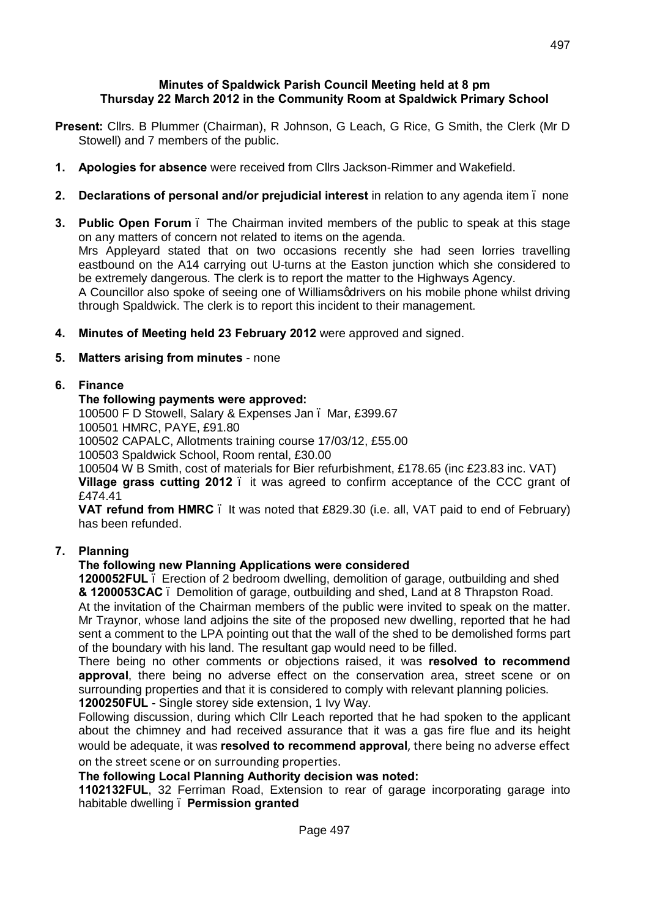#### **Minutes of Spaldwick Parish Council Meeting held at 8 pm Thursday 22 March 2012 in the Community Room at Spaldwick Primary School**

- **Present:** Cllrs. B Plummer (Chairman), R Johnson, G Leach, G Rice, G Smith, the Clerk (Mr D Stowell) and 7 members of the public.
- **1. Apologies for absence** were received from Cllrs Jackson-Rimmer and Wakefield.
- **2. Declarations of personal and/or prejudicial interest** in relation to any agenda item none
- **3. Public Open Forum** The Chairman invited members of the public to speak at this stage on any matters of concern not related to items on the agenda. Mrs Appleyard stated that on two occasions recently she had seen lorries travelling eastbound on the A14 carrying out U-turns at the Easton junction which she considered to be extremely dangerous. The clerk is to report the matter to the Highways Agency. A Councillor also spoke of seeing one of Williamsgdrivers on his mobile phone whilst driving through Spaldwick. The clerk is to report this incident to their management.
- **4. Minutes of Meeting held 23 February 2012** were approved and signed.

## **5. Matters arising from minutes** - none

## **6. Finance**

## **The following payments were approved:**

100500 F D Stowell, Salary & Expenses Jan – Mar, £399.67 100501 HMRC, PAYE, £91.80

100502 CAPALC, Allotments training course 17/03/12, £55.00

100503 Spaldwick School, Room rental, £30.00

100504 W B Smith, cost of materials for Bier refurbishment, £178.65 (inc £23.83 inc. VAT) **Village grass cutting 2012** – it was agreed to confirm acceptance of the CCC grant of £474.41

**VAT refund from HMRC** – It was noted that £829.30 (i.e. all, VAT paid to end of February) has been refunded.

## **7. Planning**

## **The following new Planning Applications were considered**

**1200052FUL** – Erection of 2 bedroom dwelling, demolition of garage, outbuilding and shed **& 1200053CAC** – Demolition of garage, outbuilding and shed, Land at 8 Thrapston Road.

At the invitation of the Chairman members of the public were invited to speak on the matter. Mr Traynor, whose land adjoins the site of the proposed new dwelling, reported that he had sent a comment to the LPA pointing out that the wall of the shed to be demolished forms part of the boundary with his land. The resultant gap would need to be filled.

There being no other comments or objections raised, it was **resolved to recommend approval**, there being no adverse effect on the conservation area, street scene or on surrounding properties and that it is considered to comply with relevant planning policies. **1200250FUL** - Single storey side extension, 1 Ivy Way.

Following discussion, during which Cllr Leach reported that he had spoken to the applicant about the chimney and had received assurance that it was a gas fire flue and its height would be adequate, it was **resolved to recommend approval**, there being no adverse effect on the street scene or on surrounding properties.

**The following Local Planning Authority decision was noted:**

**1102132FUL**, 32 Ferriman Road, Extension to rear of garage incorporating garage into habitable dwelling – **Permission granted**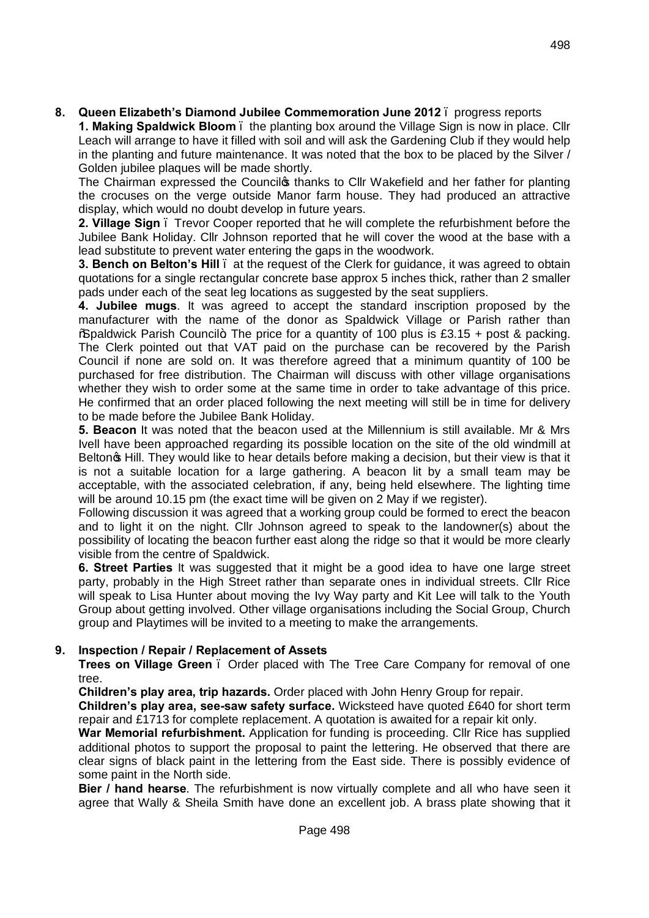**8. Queen Elizabeth's Diamond Jubilee Commemoration June 2012** – progress reports

**1. Making Spaldwick Bloom** – the planting box around the Village Sign is now in place. Cllr Leach will arrange to have it filled with soil and will ask the Gardening Club if they would help in the planting and future maintenance. It was noted that the box to be placed by the Silver / Golden jubilee plaques will be made shortly.

The Chairman expressed the Council thanks to Cllr Wakefield and her father for planting the crocuses on the verge outside Manor farm house. They had produced an attractive display, which would no doubt develop in future years.

**2. Village Sign** – Trevor Cooper reported that he will complete the refurbishment before the Jubilee Bank Holiday. Cllr Johnson reported that he will cover the wood at the base with a lead substitute to prevent water entering the gaps in the woodwork.

**3. Bench on Belton's Hill** – at the request of the Clerk for guidance, it was agreed to obtain quotations for a single rectangular concrete base approx 5 inches thick, rather than 2 smaller pads under each of the seat leg locations as suggested by the seat suppliers.

**4. Jubilee mugs**. It was agreed to accept the standard inscription proposed by the manufacturer with the name of the donor as Spaldwick Village or Parish rather than  $\%$  paldwick Parish Council+. The price for a quantity of 100 plus is £3.15 + post & packing. The Clerk pointed out that VAT paid on the purchase can be recovered by the Parish Council if none are sold on. It was therefore agreed that a minimum quantity of 100 be purchased for free distribution. The Chairman will discuss with other village organisations whether they wish to order some at the same time in order to take advantage of this price. He confirmed that an order placed following the next meeting will still be in time for delivery to be made before the Jubilee Bank Holiday.

**5. Beacon** It was noted that the beacon used at the Millennium is still available. Mr & Mrs Ivell have been approached regarding its possible location on the site of the old windmill at Belton **G** Hill. They would like to hear details before making a decision, but their view is that it is not a suitable location for a large gathering. A beacon lit by a small team may be acceptable, with the associated celebration, if any, being held elsewhere. The lighting time will be around 10.15 pm (the exact time will be given on 2 May if we register).

Following discussion it was agreed that a working group could be formed to erect the beacon and to light it on the night. Cllr Johnson agreed to speak to the landowner(s) about the possibility of locating the beacon further east along the ridge so that it would be more clearly visible from the centre of Spaldwick.

**6. Street Parties** It was suggested that it might be a good idea to have one large street party, probably in the High Street rather than separate ones in individual streets. Cllr Rice will speak to Lisa Hunter about moving the Ivy Way party and Kit Lee will talk to the Youth Group about getting involved. Other village organisations including the Social Group, Church group and Playtimes will be invited to a meeting to make the arrangements.

# **9. Inspection / Repair / Replacement of Assets**

**Trees on Village Green** – Order placed with The Tree Care Company for removal of one tree.

**Children's play area, trip hazards.** Order placed with John Henry Group for repair.

**Children's play area, see-saw safety surface.** Wicksteed have quoted £640 for short term repair and £1713 for complete replacement. A quotation is awaited for a repair kit only.

**War Memorial refurbishment.** Application for funding is proceeding. Cllr Rice has supplied additional photos to support the proposal to paint the lettering. He observed that there are clear signs of black paint in the lettering from the East side. There is possibly evidence of some paint in the North side.

**Bier / hand hearse**. The refurbishment is now virtually complete and all who have seen it agree that Wally & Sheila Smith have done an excellent job. A brass plate showing that it